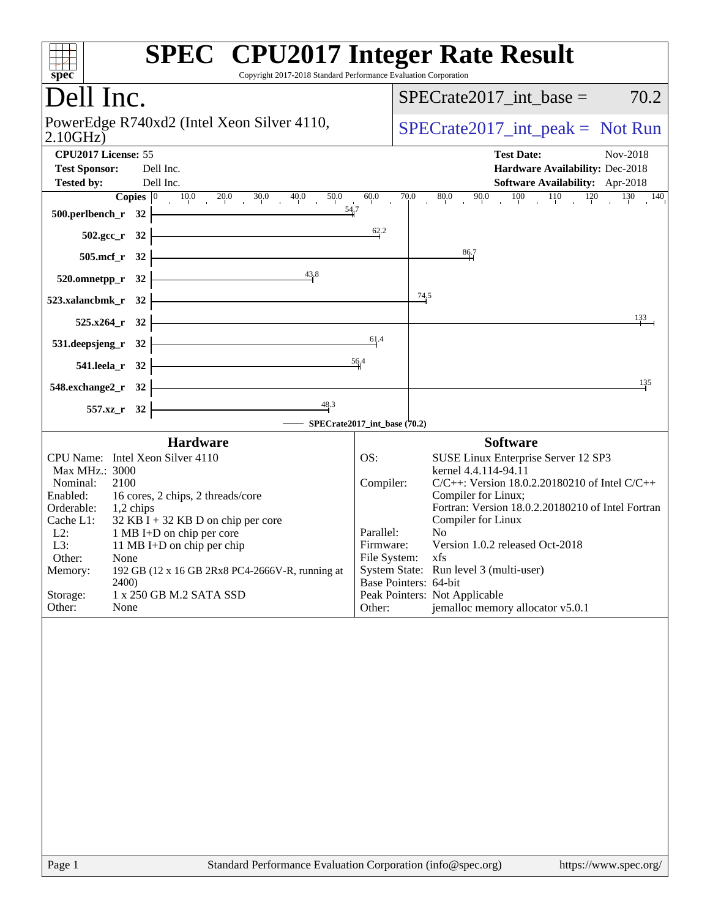| <b>SPEC<sup>®</sup></b> CPU2017 Integer Rate Result<br>Copyright 2017-2018 Standard Performance Evaluation Corporation<br>spec <sup>®</sup> |                                |                                                                            |
|---------------------------------------------------------------------------------------------------------------------------------------------|--------------------------------|----------------------------------------------------------------------------|
| Dell Inc.                                                                                                                                   |                                | 70.2<br>$SPECrate2017\_int\_base =$                                        |
| PowerEdge R740xd2 (Intel Xeon Silver 4110,<br>2.10GHz                                                                                       |                                | $SPECrate2017\_int\_peak = Not Run$                                        |
| CPU2017 License: 55<br>Dell Inc.<br><b>Test Sponsor:</b>                                                                                    |                                | <b>Test Date:</b><br>Nov-2018<br>Hardware Availability: Dec-2018           |
| Dell Inc.<br><b>Tested by:</b>                                                                                                              |                                | Software Availability: Apr-2018                                            |
| <b>Copies</b> $\begin{bmatrix} 0 & 10.0 & 20.0 & 30.0 & 40.0 \end{bmatrix}$<br>50.0<br>54,7<br>500.perlbench_r 32                           | $60.0$<br>70.0                 | 80.0 90.0 100 110 120 130 140                                              |
| 502.gcc_r 32                                                                                                                                | 62.2                           |                                                                            |
| 505.mcf_r 32                                                                                                                                |                                | 86.7                                                                       |
| 43.8<br>520.omnetpp_r 32                                                                                                                    |                                |                                                                            |
| 523.xalancbmk r 32                                                                                                                          |                                | $\frac{74.5}{4}$                                                           |
| 525.x264_r 32                                                                                                                               |                                | 133                                                                        |
| 531.deepsjeng_r 32                                                                                                                          | 61.4                           |                                                                            |
| 541.leela_r 32                                                                                                                              | 56,4                           | 135                                                                        |
| 548.exchange2_r 32<br>48.3<br>557.xz_r 32                                                                                                   |                                |                                                                            |
|                                                                                                                                             | - SPECrate2017_int_base (70.2) |                                                                            |
| <b>Hardware</b>                                                                                                                             |                                | <b>Software</b>                                                            |
| CPU Name: Intel Xeon Silver 4110                                                                                                            | OS:                            | SUSE Linux Enterprise Server 12 SP3                                        |
| Max MHz.: 3000<br>Nominal:<br>2100                                                                                                          | Compiler:                      | kernel 4.4.114-94.11<br>$C/C++$ : Version 18.0.2.20180210 of Intel $C/C++$ |
| Enabled:<br>16 cores, 2 chips, 2 threads/core<br>Orderable:<br>$1,2$ chips                                                                  |                                | Compiler for Linux;<br>Fortran: Version 18.0.2.20180210 of Intel Fortran   |
| $32$ KB I + 32 KB D on chip per core<br>Cache L1:<br>$L2$ :<br>1 MB I+D on chip per core                                                    | Parallel:                      | Compiler for Linux<br>N <sub>0</sub>                                       |
| L3:<br>11 MB I+D on chip per chip                                                                                                           | Firmware:                      | Version 1.0.2 released Oct-2018                                            |
| Other:<br>None<br>192 GB (12 x 16 GB 2Rx8 PC4-2666V-R, running at<br>Memory:                                                                | File System: xfs               | System State: Run level 3 (multi-user)                                     |
| 2400)                                                                                                                                       | Base Pointers: 64-bit          |                                                                            |
| Storage:<br>1 x 250 GB M.2 SATA SSD<br>Other:<br>None                                                                                       | Other:                         | Peak Pointers: Not Applicable<br>jemalloc memory allocator v5.0.1          |
|                                                                                                                                             |                                |                                                                            |
| Page 1<br>Standard Performance Evaluation Corporation (info@spec.org)                                                                       |                                | https://www.spec.org/                                                      |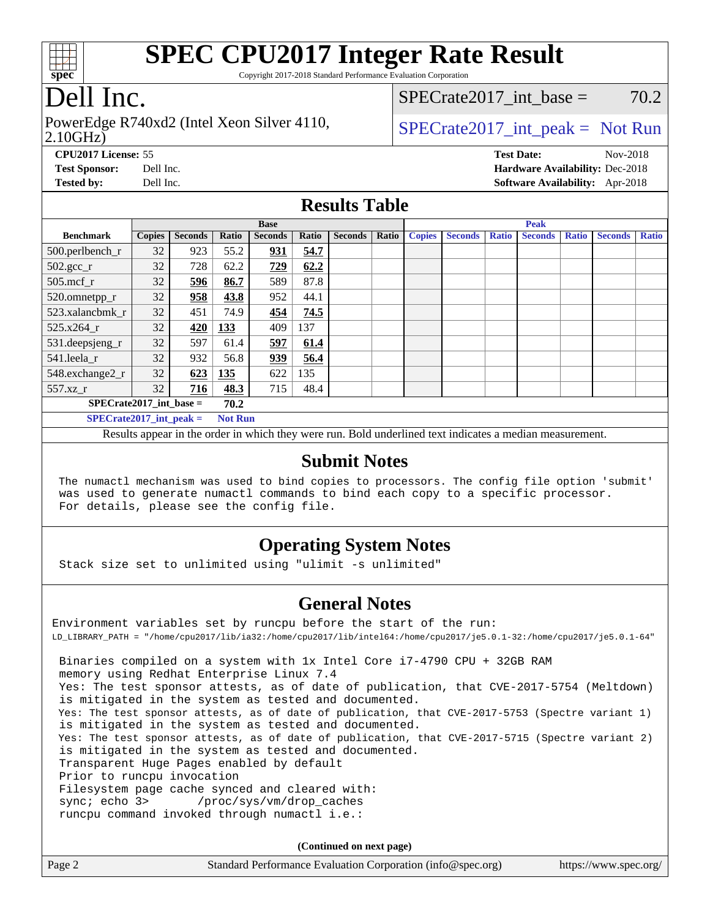

Copyright 2017-2018 Standard Performance Evaluation Corporation

# Dell Inc.

#### 2.10GHz) PowerEdge R740xd2 (Intel Xeon Silver 4110,  $\vert$  [SPECrate2017\\_int\\_peak =](http://www.spec.org/auto/cpu2017/Docs/result-fields.html#SPECrate2017intpeak) Not Run

SPECrate2017 int\_base =  $70.2$ 

**[CPU2017 License:](http://www.spec.org/auto/cpu2017/Docs/result-fields.html#CPU2017License)** 55 **[Test Date:](http://www.spec.org/auto/cpu2017/Docs/result-fields.html#TestDate)** Nov-2018 **[Test Sponsor:](http://www.spec.org/auto/cpu2017/Docs/result-fields.html#TestSponsor)** Dell Inc. **[Hardware Availability:](http://www.spec.org/auto/cpu2017/Docs/result-fields.html#HardwareAvailability)** Dec-2018 **[Tested by:](http://www.spec.org/auto/cpu2017/Docs/result-fields.html#Testedby)** Dell Inc. **[Software Availability:](http://www.spec.org/auto/cpu2017/Docs/result-fields.html#SoftwareAvailability)** Apr-2018

#### **[Results Table](http://www.spec.org/auto/cpu2017/Docs/result-fields.html#ResultsTable)**

|                             | <b>Base</b>   |                |                |                | <b>Peak</b> |                |       |               |                |              |                |              |                |              |
|-----------------------------|---------------|----------------|----------------|----------------|-------------|----------------|-------|---------------|----------------|--------------|----------------|--------------|----------------|--------------|
| <b>Benchmark</b>            | <b>Copies</b> | <b>Seconds</b> | Ratio          | <b>Seconds</b> | Ratio       | <b>Seconds</b> | Ratio | <b>Copies</b> | <b>Seconds</b> | <b>Ratio</b> | <b>Seconds</b> | <b>Ratio</b> | <b>Seconds</b> | <b>Ratio</b> |
| 500.perlbench_r             | 32            | 923            | 55.2           | 931            | 54.7        |                |       |               |                |              |                |              |                |              |
| $502.\text{gcc\_r}$         | 32            | 728            | 62.2           | 729            | 62.2        |                |       |               |                |              |                |              |                |              |
| $505$ .mcf r                | 32            | 596            | 86.7           | 589            | 87.8        |                |       |               |                |              |                |              |                |              |
| 520.omnetpp_r               | 32            | 958            | 43.8           | 952            | 44.1        |                |       |               |                |              |                |              |                |              |
| 523.xalancbmk r             | 32            | 451            | 74.9           | 454            | 74.5        |                |       |               |                |              |                |              |                |              |
| 525.x264 r                  | 32            | 420            | 133            | 409            | 137         |                |       |               |                |              |                |              |                |              |
| 531.deepsjeng_r             | 32            | 597            | 61.4           | 597            | 61.4        |                |       |               |                |              |                |              |                |              |
| 541.leela r                 | 32            | 932            | 56.8           | <u>939</u>     | 56.4        |                |       |               |                |              |                |              |                |              |
| 548.exchange2_r             | 32            | 623            | 135            | 622            | 135         |                |       |               |                |              |                |              |                |              |
| 557.xz r                    | 32            | 716            | 48.3           | 715            | 48.4        |                |       |               |                |              |                |              |                |              |
| $SPECrate2017$ int base =   |               |                | 70.2           |                |             |                |       |               |                |              |                |              |                |              |
| $SPECrate2017\_int\_peak =$ |               |                | <b>Not Run</b> |                |             |                |       |               |                |              |                |              |                |              |

Results appear in the [order in which they were run](http://www.spec.org/auto/cpu2017/Docs/result-fields.html#RunOrder). Bold underlined text [indicates a median measurement.](http://www.spec.org/auto/cpu2017/Docs/result-fields.html#Median)

#### **[Submit Notes](http://www.spec.org/auto/cpu2017/Docs/result-fields.html#SubmitNotes)**

 The numactl mechanism was used to bind copies to processors. The config file option 'submit' was used to generate numactl commands to bind each copy to a specific processor. For details, please see the config file.

### **[Operating System Notes](http://www.spec.org/auto/cpu2017/Docs/result-fields.html#OperatingSystemNotes)**

Stack size set to unlimited using "ulimit -s unlimited"

#### **[General Notes](http://www.spec.org/auto/cpu2017/Docs/result-fields.html#GeneralNotes)**

Environment variables set by runcpu before the start of the run: LD\_LIBRARY\_PATH = "/home/cpu2017/lib/ia32:/home/cpu2017/lib/intel64:/home/cpu2017/je5.0.1-32:/home/cpu2017/je5.0.1-64" Binaries compiled on a system with 1x Intel Core i7-4790 CPU + 32GB RAM memory using Redhat Enterprise Linux 7.4 Yes: The test sponsor attests, as of date of publication, that CVE-2017-5754 (Meltdown) is mitigated in the system as tested and documented. Yes: The test sponsor attests, as of date of publication, that CVE-2017-5753 (Spectre variant 1) is mitigated in the system as tested and documented. Yes: The test sponsor attests, as of date of publication, that CVE-2017-5715 (Spectre variant 2) is mitigated in the system as tested and documented. Transparent Huge Pages enabled by default Prior to runcpu invocation Filesystem page cache synced and cleared with: sync; echo 3> /proc/sys/vm/drop\_caches runcpu command invoked through numactl i.e.:

**(Continued on next page)**

| Page 2 | Standard Performance Evaluation Corporation (info@spec.org) | https://www.spec.org/ |
|--------|-------------------------------------------------------------|-----------------------|
|--------|-------------------------------------------------------------|-----------------------|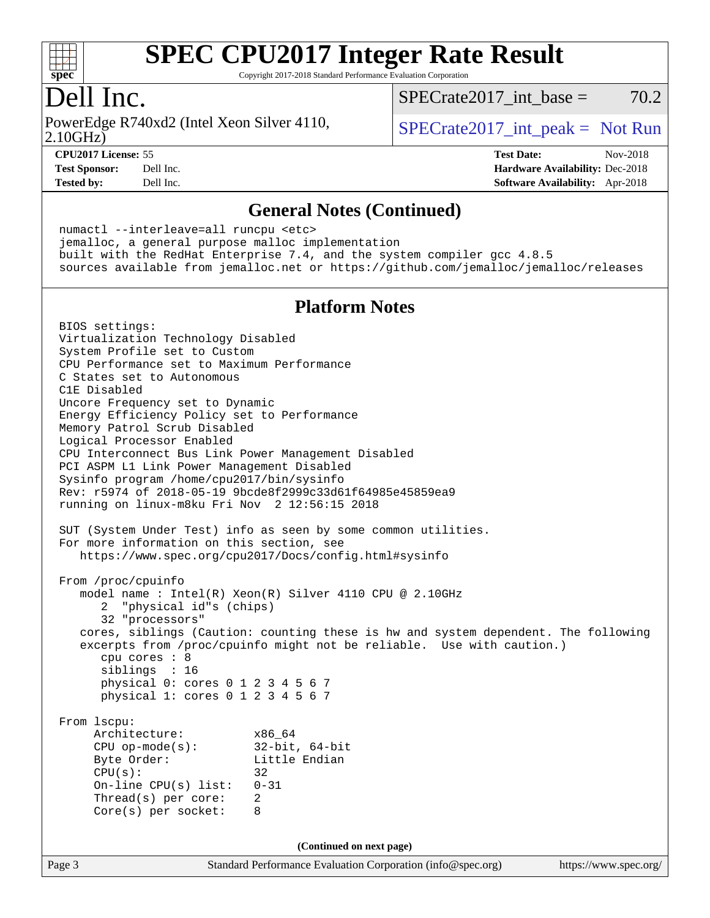

Copyright 2017-2018 Standard Performance Evaluation Corporation

### Dell Inc.

2.10GHz) PowerEdge R740xd2 (Intel Xeon Silver 4110,  $\vert$  [SPECrate2017\\_int\\_peak =](http://www.spec.org/auto/cpu2017/Docs/result-fields.html#SPECrate2017intpeak) Not Run

 $SPECTate2017\_int\_base = 70.2$ 

**[CPU2017 License:](http://www.spec.org/auto/cpu2017/Docs/result-fields.html#CPU2017License)** 55 **[Test Date:](http://www.spec.org/auto/cpu2017/Docs/result-fields.html#TestDate)** Nov-2018

**[Test Sponsor:](http://www.spec.org/auto/cpu2017/Docs/result-fields.html#TestSponsor)** Dell Inc. **[Hardware Availability:](http://www.spec.org/auto/cpu2017/Docs/result-fields.html#HardwareAvailability)** Dec-2018 **[Tested by:](http://www.spec.org/auto/cpu2017/Docs/result-fields.html#Testedby)** Dell Inc. **[Software Availability:](http://www.spec.org/auto/cpu2017/Docs/result-fields.html#SoftwareAvailability)** Apr-2018

#### **[General Notes \(Continued\)](http://www.spec.org/auto/cpu2017/Docs/result-fields.html#GeneralNotes)**

 numactl --interleave=all runcpu <etc> jemalloc, a general purpose malloc implementation built with the RedHat Enterprise 7.4, and the system compiler gcc 4.8.5 sources available from jemalloc.net or <https://github.com/jemalloc/jemalloc/releases>

#### **[Platform Notes](http://www.spec.org/auto/cpu2017/Docs/result-fields.html#PlatformNotes)**

Page 3 Standard Performance Evaluation Corporation [\(info@spec.org\)](mailto:info@spec.org) <https://www.spec.org/> BIOS settings: Virtualization Technology Disabled System Profile set to Custom CPU Performance set to Maximum Performance C States set to Autonomous C1E Disabled Uncore Frequency set to Dynamic Energy Efficiency Policy set to Performance Memory Patrol Scrub Disabled Logical Processor Enabled CPU Interconnect Bus Link Power Management Disabled PCI ASPM L1 Link Power Management Disabled Sysinfo program /home/cpu2017/bin/sysinfo Rev: r5974 of 2018-05-19 9bcde8f2999c33d61f64985e45859ea9 running on linux-m8ku Fri Nov 2 12:56:15 2018 SUT (System Under Test) info as seen by some common utilities. For more information on this section, see <https://www.spec.org/cpu2017/Docs/config.html#sysinfo> From /proc/cpuinfo model name : Intel(R) Xeon(R) Silver 4110 CPU @ 2.10GHz 2 "physical id"s (chips) 32 "processors" cores, siblings (Caution: counting these is hw and system dependent. The following excerpts from /proc/cpuinfo might not be reliable. Use with caution.) cpu cores : 8 siblings : 16 physical 0: cores 0 1 2 3 4 5 6 7 physical 1: cores 0 1 2 3 4 5 6 7 From lscpu: Architecture: x86\_64 CPU op-mode(s): 32-bit, 64-bit Byte Order: Little Endian  $CPU(s):$  32 On-line CPU(s) list: 0-31 Thread(s) per core: 2 Core(s) per socket: 8 **(Continued on next page)**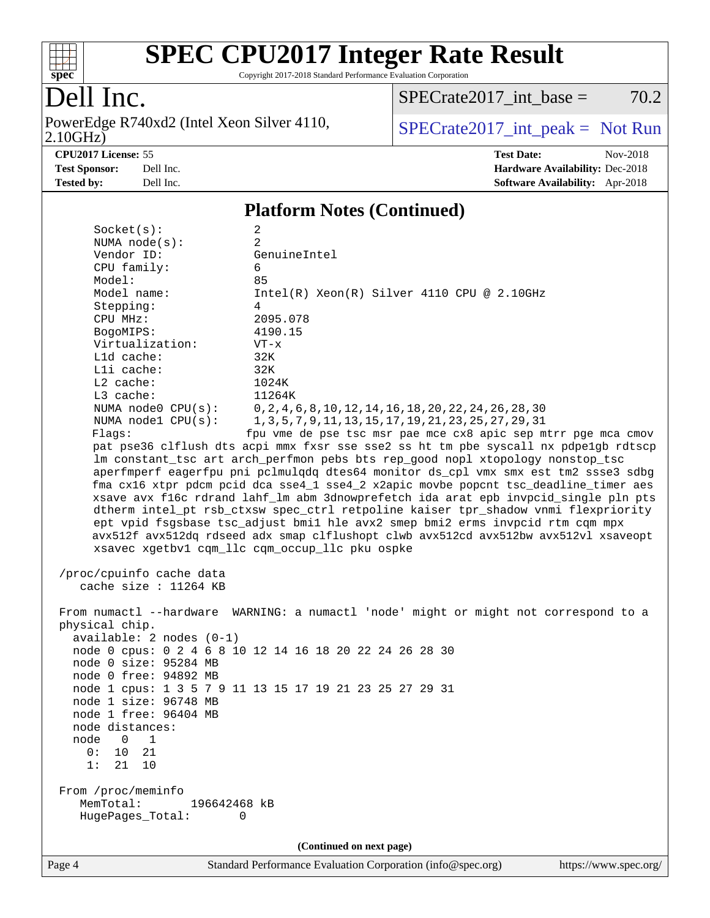

Copyright 2017-2018 Standard Performance Evaluation Corporation

Dell Inc.<br>PowerEdge R740xd2 (Intel Xeon Silver 4110,  $2.10$ GHz)

 $SPECTate2017\_int\_base = 70.2$ 

 $SPECTate 2017\_int\_peak = Not Run$ 

**[CPU2017 License:](http://www.spec.org/auto/cpu2017/Docs/result-fields.html#CPU2017License)** 55 **[Test Date:](http://www.spec.org/auto/cpu2017/Docs/result-fields.html#TestDate)** Nov-2018 **[Test Sponsor:](http://www.spec.org/auto/cpu2017/Docs/result-fields.html#TestSponsor)** Dell Inc. **[Hardware Availability:](http://www.spec.org/auto/cpu2017/Docs/result-fields.html#HardwareAvailability)** Dec-2018 **[Tested by:](http://www.spec.org/auto/cpu2017/Docs/result-fields.html#Testedby)** Dell Inc. **[Software Availability:](http://www.spec.org/auto/cpu2017/Docs/result-fields.html#SoftwareAvailability)** Apr-2018

#### **[Platform Notes \(Continued\)](http://www.spec.org/auto/cpu2017/Docs/result-fields.html#PlatformNotes)**

| 0:<br>10<br>21<br>21<br>10<br>1:<br>From /proc/meminfo<br>MemTotal:<br>HugePages_Total: | 196642468 kB<br>0                                                                                                                                                                                                                                                                                                                                                                                                                                                                                                                                                                                                                                                                                                                                                                                       |                                           | (Continued on next page) |                                                                                                                        |                                                               |
|-----------------------------------------------------------------------------------------|---------------------------------------------------------------------------------------------------------------------------------------------------------------------------------------------------------------------------------------------------------------------------------------------------------------------------------------------------------------------------------------------------------------------------------------------------------------------------------------------------------------------------------------------------------------------------------------------------------------------------------------------------------------------------------------------------------------------------------------------------------------------------------------------------------|-------------------------------------------|--------------------------|------------------------------------------------------------------------------------------------------------------------|---------------------------------------------------------------|
|                                                                                         |                                                                                                                                                                                                                                                                                                                                                                                                                                                                                                                                                                                                                                                                                                                                                                                                         |                                           |                          |                                                                                                                        |                                                               |
|                                                                                         |                                                                                                                                                                                                                                                                                                                                                                                                                                                                                                                                                                                                                                                                                                                                                                                                         |                                           |                          |                                                                                                                        |                                                               |
|                                                                                         |                                                                                                                                                                                                                                                                                                                                                                                                                                                                                                                                                                                                                                                                                                                                                                                                         |                                           |                          |                                                                                                                        |                                                               |
| node<br>$0\quad 1$                                                                      |                                                                                                                                                                                                                                                                                                                                                                                                                                                                                                                                                                                                                                                                                                                                                                                                         |                                           |                          |                                                                                                                        |                                                               |
| node distances:                                                                         |                                                                                                                                                                                                                                                                                                                                                                                                                                                                                                                                                                                                                                                                                                                                                                                                         |                                           |                          |                                                                                                                        |                                                               |
| node 1 free: 96404 MB                                                                   |                                                                                                                                                                                                                                                                                                                                                                                                                                                                                                                                                                                                                                                                                                                                                                                                         |                                           |                          |                                                                                                                        |                                                               |
| node 1 size: 96748 MB                                                                   |                                                                                                                                                                                                                                                                                                                                                                                                                                                                                                                                                                                                                                                                                                                                                                                                         |                                           |                          |                                                                                                                        |                                                               |
|                                                                                         | node 1 cpus: 1 3 5 7 9 11 13 15 17 19 21 23 25 27 29 31                                                                                                                                                                                                                                                                                                                                                                                                                                                                                                                                                                                                                                                                                                                                                 |                                           |                          |                                                                                                                        |                                                               |
| node 0 free: 94892 MB                                                                   |                                                                                                                                                                                                                                                                                                                                                                                                                                                                                                                                                                                                                                                                                                                                                                                                         |                                           |                          |                                                                                                                        |                                                               |
| node 0 size: 95284 MB                                                                   | node 0 cpus: 0 2 4 6 8 10 12 14 16 18 20 22 24 26 28 30                                                                                                                                                                                                                                                                                                                                                                                                                                                                                                                                                                                                                                                                                                                                                 |                                           |                          |                                                                                                                        |                                                               |
|                                                                                         | $available: 2 nodes (0-1)$                                                                                                                                                                                                                                                                                                                                                                                                                                                                                                                                                                                                                                                                                                                                                                              |                                           |                          |                                                                                                                        |                                                               |
| physical chip.                                                                          |                                                                                                                                                                                                                                                                                                                                                                                                                                                                                                                                                                                                                                                                                                                                                                                                         |                                           |                          |                                                                                                                        |                                                               |
|                                                                                         | From numactl --hardware WARNING: a numactl 'node' might or might not correspond to a                                                                                                                                                                                                                                                                                                                                                                                                                                                                                                                                                                                                                                                                                                                    |                                           |                          |                                                                                                                        |                                                               |
| /proc/cpuinfo cache data                                                                | cache size : 11264 KB                                                                                                                                                                                                                                                                                                                                                                                                                                                                                                                                                                                                                                                                                                                                                                                   |                                           |                          |                                                                                                                        |                                                               |
| Virtualization:<br>Lld cache:<br>Lli cache:<br>L2 cache:<br>L3 cache:<br>Flags:         | NUMA node0 CPU(s):<br>NUMA nodel $CPU(s):$<br>pat pse36 clflush dts acpi mmx fxsr sse sse2 ss ht tm pbe syscall nx pdpelgb rdtscp<br>lm constant_tsc art arch_perfmon pebs bts rep_good nopl xtopology nonstop_tsc<br>aperfmperf eagerfpu pni pclmulqdq dtes64 monitor ds_cpl vmx smx est tm2 ssse3 sdbg<br>fma cx16 xtpr pdcm pcid dca sse4_1 sse4_2 x2apic movbe popcnt tsc_deadline_timer aes<br>xsave avx f16c rdrand lahf_lm abm 3dnowprefetch ida arat epb invpcid_single pln pts<br>dtherm intel_pt rsb_ctxsw spec_ctrl retpoline kaiser tpr_shadow vnmi flexpriority<br>ept vpid fsgsbase tsc_adjust bmil hle avx2 smep bmi2 erms invpcid rtm cqm mpx<br>avx512f avx512dq rdseed adx smap clflushopt clwb avx512cd avx512bw avx512vl xsaveopt<br>xsavec xgetbvl cqm_llc cqm_occup_llc pku ospke | $VT - x$<br>32K<br>32K<br>1024K<br>11264K |                          | 0, 2, 4, 6, 8, 10, 12, 14, 16, 18, 20, 22, 24, 26, 28, 30<br>1, 3, 5, 7, 9, 11, 13, 15, 17, 19, 21, 23, 25, 27, 29, 31 | fpu vme de pse tsc msr pae mce cx8 apic sep mtrr pge mca cmov |
| BogoMIPS:                                                                               |                                                                                                                                                                                                                                                                                                                                                                                                                                                                                                                                                                                                                                                                                                                                                                                                         | 4190.15                                   |                          |                                                                                                                        |                                                               |
| CPU MHz:                                                                                |                                                                                                                                                                                                                                                                                                                                                                                                                                                                                                                                                                                                                                                                                                                                                                                                         | 2095.078                                  |                          |                                                                                                                        |                                                               |
| Stepping:                                                                               |                                                                                                                                                                                                                                                                                                                                                                                                                                                                                                                                                                                                                                                                                                                                                                                                         | 4                                         |                          |                                                                                                                        |                                                               |
| Model:<br>Model name:                                                                   |                                                                                                                                                                                                                                                                                                                                                                                                                                                                                                                                                                                                                                                                                                                                                                                                         |                                           |                          | Intel(R) Xeon(R) Silver 4110 CPU @ 2.10GHz                                                                             |                                                               |
| CPU family:                                                                             |                                                                                                                                                                                                                                                                                                                                                                                                                                                                                                                                                                                                                                                                                                                                                                                                         | 6<br>85                                   |                          |                                                                                                                        |                                                               |
|                                                                                         |                                                                                                                                                                                                                                                                                                                                                                                                                                                                                                                                                                                                                                                                                                                                                                                                         | GenuineIntel                              |                          |                                                                                                                        |                                                               |
|                                                                                         |                                                                                                                                                                                                                                                                                                                                                                                                                                                                                                                                                                                                                                                                                                                                                                                                         |                                           |                          |                                                                                                                        |                                                               |
| NUMA $node(s)$ :<br>Vendor ID:                                                          |                                                                                                                                                                                                                                                                                                                                                                                                                                                                                                                                                                                                                                                                                                                                                                                                         | 2                                         |                          |                                                                                                                        |                                                               |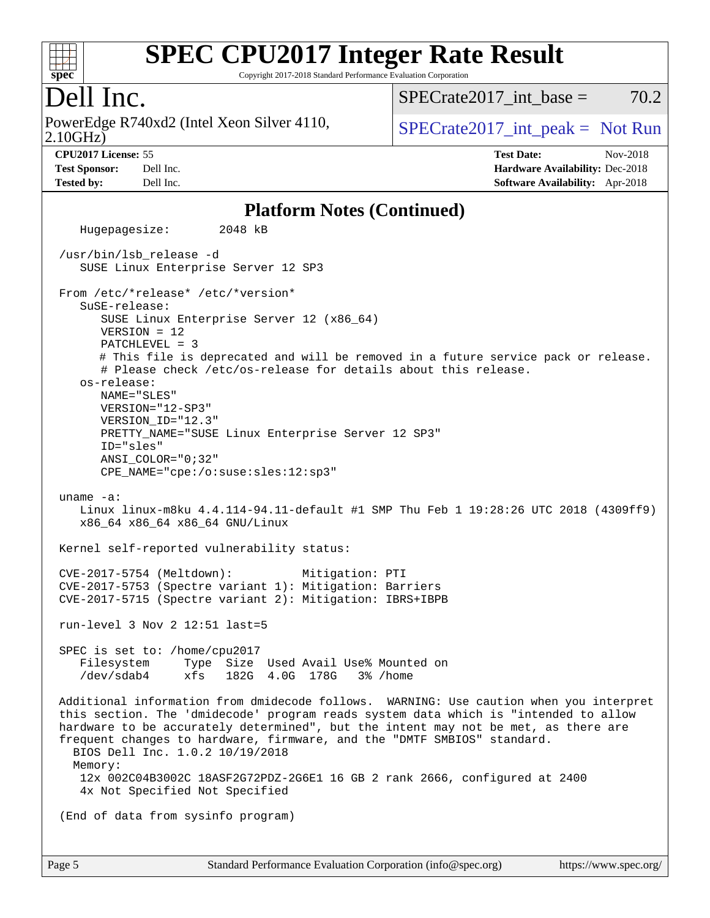

Copyright 2017-2018 Standard Performance Evaluation Corporation

### Dell Inc.

PowerEdge R740xd2 (Intel Xeon Silver 4110,  $\vert$  [SPECrate2017\\_int\\_peak =](http://www.spec.org/auto/cpu2017/Docs/result-fields.html#SPECrate2017intpeak) Not Run

SPECrate2017 int\_base =  $70.2$ 

2.10GHz)

**[Tested by:](http://www.spec.org/auto/cpu2017/Docs/result-fields.html#Testedby)** Dell Inc. **[Software Availability:](http://www.spec.org/auto/cpu2017/Docs/result-fields.html#SoftwareAvailability)** Apr-2018

**[CPU2017 License:](http://www.spec.org/auto/cpu2017/Docs/result-fields.html#CPU2017License)** 55 **[Test Date:](http://www.spec.org/auto/cpu2017/Docs/result-fields.html#TestDate)** Nov-2018 **[Test Sponsor:](http://www.spec.org/auto/cpu2017/Docs/result-fields.html#TestSponsor)** Dell Inc. **[Hardware Availability:](http://www.spec.org/auto/cpu2017/Docs/result-fields.html#HardwareAvailability)** Dec-2018

#### **[Platform Notes \(Continued\)](http://www.spec.org/auto/cpu2017/Docs/result-fields.html#PlatformNotes)**

 Hugepagesize: 2048 kB /usr/bin/lsb\_release -d SUSE Linux Enterprise Server 12 SP3 From /etc/\*release\* /etc/\*version\* SuSE-release: SUSE Linux Enterprise Server 12 (x86\_64) VERSION = 12 PATCHLEVEL = 3 # This file is deprecated and will be removed in a future service pack or release. # Please check /etc/os-release for details about this release. os-release: NAME="SLES" VERSION="12-SP3" VERSION\_ID="12.3" PRETTY\_NAME="SUSE Linux Enterprise Server 12 SP3" ID="sles" ANSI\_COLOR="0;32" CPE\_NAME="cpe:/o:suse:sles:12:sp3" uname -a: Linux linux-m8ku 4.4.114-94.11-default #1 SMP Thu Feb 1 19:28:26 UTC 2018 (4309ff9) x86\_64 x86\_64 x86\_64 GNU/Linux Kernel self-reported vulnerability status: CVE-2017-5754 (Meltdown): Mitigation: PTI CVE-2017-5753 (Spectre variant 1): Mitigation: Barriers CVE-2017-5715 (Spectre variant 2): Mitigation: IBRS+IBPB run-level 3 Nov 2 12:51 last=5 SPEC is set to: /home/cpu2017 Filesystem Type Size Used Avail Use% Mounted on /dev/sdab4 xfs 182G 4.0G 178G 3% /home Additional information from dmidecode follows. WARNING: Use caution when you interpret this section. The 'dmidecode' program reads system data which is "intended to allow hardware to be accurately determined", but the intent may not be met, as there are frequent changes to hardware, firmware, and the "DMTF SMBIOS" standard. BIOS Dell Inc. 1.0.2 10/19/2018 Memory: 12x 002C04B3002C 18ASF2G72PDZ-2G6E1 16 GB 2 rank 2666, configured at 2400 4x Not Specified Not Specified (End of data from sysinfo program)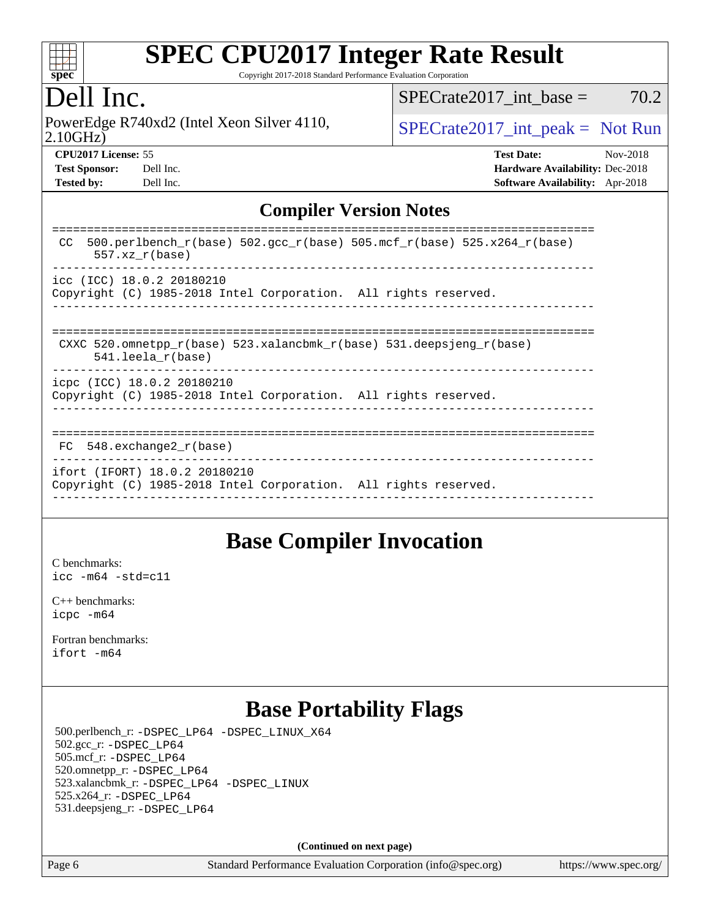

Copyright 2017-2018 Standard Performance Evaluation Corporation

## Dell Inc.

PowerEdge R740xd2 (Intel Xeon Silver 4110,  $\vert$  [SPECrate2017\\_int\\_peak =](http://www.spec.org/auto/cpu2017/Docs/result-fields.html#SPECrate2017intpeak) Not Run

 $SPECTate2017\_int\_base = 70.2$ 

2.10GHz)

**[CPU2017 License:](http://www.spec.org/auto/cpu2017/Docs/result-fields.html#CPU2017License)** 55 **[Test Date:](http://www.spec.org/auto/cpu2017/Docs/result-fields.html#TestDate)** Nov-2018 **[Test Sponsor:](http://www.spec.org/auto/cpu2017/Docs/result-fields.html#TestSponsor)** Dell Inc. **[Hardware Availability:](http://www.spec.org/auto/cpu2017/Docs/result-fields.html#HardwareAvailability)** Dec-2018 **[Tested by:](http://www.spec.org/auto/cpu2017/Docs/result-fields.html#Testedby)** Dell Inc. **[Software Availability:](http://www.spec.org/auto/cpu2017/Docs/result-fields.html#SoftwareAvailability)** Apr-2018

### **[Compiler Version Notes](http://www.spec.org/auto/cpu2017/Docs/result-fields.html#CompilerVersionNotes)**

| $500. perlbench_r(base) 502. gcc_r(base) 505.mcf_r(base) 525.x264_r(base)$<br>CC.<br>$557.xx$ $r(base)$ |
|---------------------------------------------------------------------------------------------------------|
| icc (ICC) 18.0.2 20180210<br>Copyright (C) 1985-2018 Intel Corporation. All rights reserved.            |
|                                                                                                         |
| CXXC 520.omnetpp $r(base)$ 523.xalancbmk $r(base)$ 531.deepsjeng $r(base)$<br>$541.$ leela r(base)      |
| icpc (ICC) 18.0.2 20180210<br>Copyright (C) 1985-2018 Intel Corporation. All rights reserved.           |
| FC 548. exchange2 r(base)                                                                               |
| ifort (IFORT) 18.0.2 20180210<br>Copyright (C) 1985-2018 Intel Corporation. All rights reserved.        |

### **[Base Compiler Invocation](http://www.spec.org/auto/cpu2017/Docs/result-fields.html#BaseCompilerInvocation)**

[C benchmarks](http://www.spec.org/auto/cpu2017/Docs/result-fields.html#Cbenchmarks): [icc -m64 -std=c11](http://www.spec.org/cpu2017/results/res2018q4/cpu2017-20181112-09550.flags.html#user_CCbase_intel_icc_64bit_c11_33ee0cdaae7deeeab2a9725423ba97205ce30f63b9926c2519791662299b76a0318f32ddfffdc46587804de3178b4f9328c46fa7c2b0cd779d7a61945c91cd35)

[C++ benchmarks:](http://www.spec.org/auto/cpu2017/Docs/result-fields.html#CXXbenchmarks) [icpc -m64](http://www.spec.org/cpu2017/results/res2018q4/cpu2017-20181112-09550.flags.html#user_CXXbase_intel_icpc_64bit_4ecb2543ae3f1412ef961e0650ca070fec7b7afdcd6ed48761b84423119d1bf6bdf5cad15b44d48e7256388bc77273b966e5eb805aefd121eb22e9299b2ec9d9)

[Fortran benchmarks](http://www.spec.org/auto/cpu2017/Docs/result-fields.html#Fortranbenchmarks): [ifort -m64](http://www.spec.org/cpu2017/results/res2018q4/cpu2017-20181112-09550.flags.html#user_FCbase_intel_ifort_64bit_24f2bb282fbaeffd6157abe4f878425411749daecae9a33200eee2bee2fe76f3b89351d69a8130dd5949958ce389cf37ff59a95e7a40d588e8d3a57e0c3fd751)

# **[Base Portability Flags](http://www.spec.org/auto/cpu2017/Docs/result-fields.html#BasePortabilityFlags)**

 500.perlbench\_r: [-DSPEC\\_LP64](http://www.spec.org/cpu2017/results/res2018q4/cpu2017-20181112-09550.flags.html#b500.perlbench_r_basePORTABILITY_DSPEC_LP64) [-DSPEC\\_LINUX\\_X64](http://www.spec.org/cpu2017/results/res2018q4/cpu2017-20181112-09550.flags.html#b500.perlbench_r_baseCPORTABILITY_DSPEC_LINUX_X64) 502.gcc\_r: [-DSPEC\\_LP64](http://www.spec.org/cpu2017/results/res2018q4/cpu2017-20181112-09550.flags.html#suite_basePORTABILITY502_gcc_r_DSPEC_LP64) 505.mcf\_r: [-DSPEC\\_LP64](http://www.spec.org/cpu2017/results/res2018q4/cpu2017-20181112-09550.flags.html#suite_basePORTABILITY505_mcf_r_DSPEC_LP64) 520.omnetpp\_r: [-DSPEC\\_LP64](http://www.spec.org/cpu2017/results/res2018q4/cpu2017-20181112-09550.flags.html#suite_basePORTABILITY520_omnetpp_r_DSPEC_LP64) 523.xalancbmk\_r: [-DSPEC\\_LP64](http://www.spec.org/cpu2017/results/res2018q4/cpu2017-20181112-09550.flags.html#suite_basePORTABILITY523_xalancbmk_r_DSPEC_LP64) [-DSPEC\\_LINUX](http://www.spec.org/cpu2017/results/res2018q4/cpu2017-20181112-09550.flags.html#b523.xalancbmk_r_baseCXXPORTABILITY_DSPEC_LINUX) 525.x264\_r: [-DSPEC\\_LP64](http://www.spec.org/cpu2017/results/res2018q4/cpu2017-20181112-09550.flags.html#suite_basePORTABILITY525_x264_r_DSPEC_LP64) 531.deepsjeng\_r: [-DSPEC\\_LP64](http://www.spec.org/cpu2017/results/res2018q4/cpu2017-20181112-09550.flags.html#suite_basePORTABILITY531_deepsjeng_r_DSPEC_LP64)

**(Continued on next page)**

Page 6 Standard Performance Evaluation Corporation [\(info@spec.org\)](mailto:info@spec.org) <https://www.spec.org/>